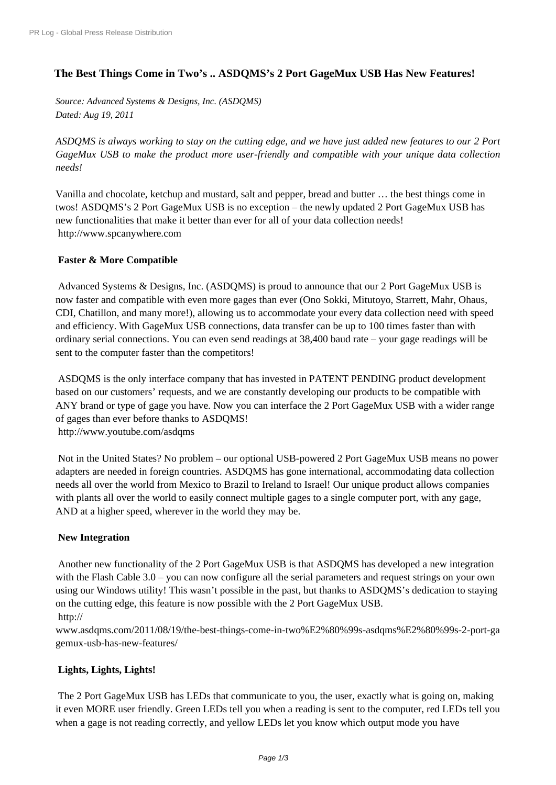# **[The Best Things Come in](http://www.prlog.org/) Two's .. ASDQMS's 2 Port GageMux USB Has New Features!**

*Source: Advanced Systems & Designs, Inc. (ASDQMS) Dated: Aug 19, 2011*

*ASDQMS is always working to stay on the cutting edge, and we have just added new features to our 2 Port GageMux USB to make the product more user-friendly and compatible with your unique data collection needs!*

Vanilla and chocolate, ketchup and mustard, salt and pepper, bread and butter … the best things come in twos! ASDQMS's 2 Port GageMux USB is no exception – the newly updated 2 Port GageMux USB has new functionalities that make it better than ever for all of your data collection needs! http://www.spcanywhere.com

# **Faster & More Compatible**

 [Advanced Systems & Designs](http://www.prlog.org/11630496.html), Inc. (ASDQMS) is proud to announce that our 2 Port GageMux USB is now faster and compatible with even more gages than ever (Ono Sokki, Mitutoyo, Starrett, Mahr, Ohaus, CDI, Chatillon, and many more!), allowing us to accommodate your every data collection need with speed and efficiency. With GageMux USB connections, data transfer can be up to 100 times faster than with ordinary serial connections. You can even send readings at 38,400 baud rate – your gage readings will be sent to the computer faster than the competitors!

 ASDQMS is the only interface company that has invested in PATENT PENDING product development based on our customers' requests, and we are constantly developing our products to be compatible with ANY brand or type of gage you have. Now you can interface the 2 Port GageMux USB with a wider range of gages than ever before thanks to ASDQMS! http://www.youtube.com/asdqms

 Not in the United States? No problem – our optional USB-powered 2 Port GageMux USB means no power adapters are needed in foreign countries. ASDQMS has gone international, accommodating data collection [needs all over the world from Mex](http://www.prlog.org/11630496.html)ico to Brazil to Ireland to Israel! Our unique product allows companies with plants all over the world to easily connect multiple gages to a single computer port, with any gage, AND at a higher speed, wherever in the world they may be.

## **New Integration**

 Another new functionality of the 2 Port GageMux USB is that ASDQMS has developed a new integration with the Flash Cable 3.0 – you can now configure all the serial parameters and request strings on your own using our Windows utility! This wasn't possible in the past, but thanks to ASDQMS's dedication to staying on the cutting edge, this feature is now possible with the 2 Port GageMux USB. http://

www.asdqms.com/2011/08/19/the-best-things-come-in-two%E2%80%99s-asdqms%E2%80%99s-2-port-ga gemux-usb-has-new-features/

# **[Lights, Lights, Lights!](http://www.prlog.org/11630496.html)**

 [The 2 Port GageMux USB ha](http://www.prlog.org/11630496.html)s LEDs that communicate to you, the user, exactly what is going on, making it even MORE user friendly. Green LEDs tell you when a reading is sent to the computer, red LEDs tell you when a gage is not reading correctly, and yellow LEDs let you know which output mode you have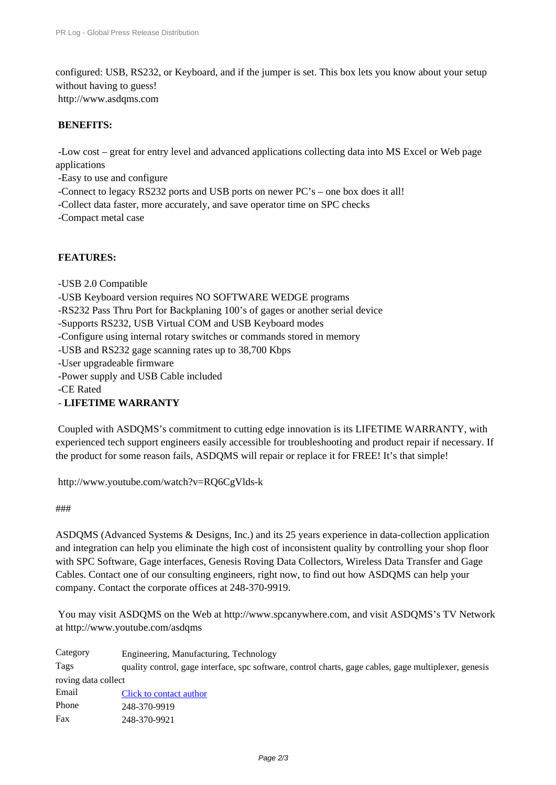configured: USB, RS232, or Keyboard, and if the jumper is set. This box lets you know about your setup [without having to guess!](http://www.prlog.org/) http://www.asdqms.com

#### **BENEFITS:**

- Low cost – great for entry level and advanced applications collecting data into MS Excel or Web page applications

- Easy to use and configure
- Connect to legacy RS232 ports and USB ports on newer PC's one box does it all!
- Collect data faster, more accurately, and save operator time on SPC checks
- - Compact metal case

## **FEATURES:**

- USB 2.0 Compatible
- USB Keyboard version requires NO SOFTWARE WEDGE programs
- RS232 Pass Thru Port for Backplaning 100's of gages or another serial device
- Supports RS232, USB Virtual COM and USB Keyboard modes
- Configure using internal rotary switches or commands stored in memory
- USB and RS232 gage scanning rates up to 38,700 Kbps
- - User upgradeable firmware
- Power supply and USB Cable included
- CE Rated
- - **LIFETIME WARRANTY**

 Coupled with ASDQMS's commitment to cutting edge innovation is its LIFETIME WARRANTY, with experienced tech support engineers easily accessible for troubleshooting and product repair if necessary. If the product for some reason fails, ASDQMS will repair or replace it for FREE! It's that simple!

http://www.youtube.com/watch?v=RQ6CgVlds-k

#### ###

[ASDQMS \(Advanced Systems & Designs, Inc.\) an](http://www.prlog.org/11630496.html)d its 25 years experience in data-collection application [and](http://www.prlog.org/11630496.html) integration can help you eliminate the high cost of inconsistent quality by controlling your shop floor with SPC Software, Gage interfaces, Genesis Roving Data Collectors, Wireless Data Transfer and Gage Cables. Contact one of our consulting engineers, right now, to find out how ASDQMS can help your [company.](http://www.prlog.org/11630496.html) Contact the corporate offices at 248-370-9919.

 You may visit ASDQMS on the Web at http://www.spcanywhere.com, and visit ASDQMS's TV Network at http://www.youtube.com/asdqms

| Category            | Engineering, Manufacturing, Technology                                                                |  |
|---------------------|-------------------------------------------------------------------------------------------------------|--|
| Tags                | quality control, gage interface, spc software, control charts, gage cables, gage multiplexer, genesis |  |
| roving data collect |                                                                                                       |  |
| Email               | Click to contact author                                                                               |  |
| Phone               | 248-370-9919                                                                                          |  |
| Fax                 | 248-370-9921                                                                                          |  |